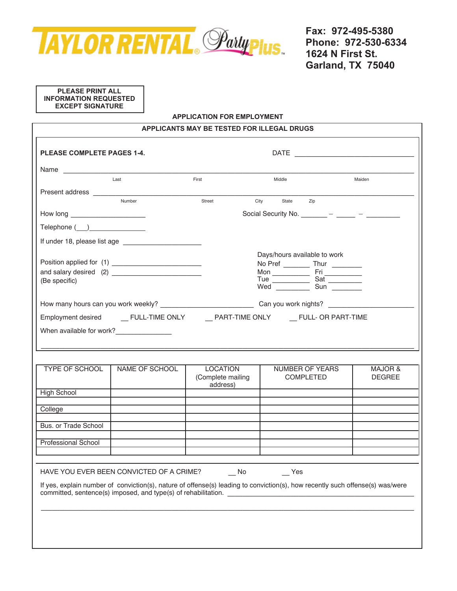

## **PLEASE PRINT ALL INFORMATION REQUESTED EXCEPT SIGNATURE**

#### **APPLICATION FOR EMPLOYMENT**

| APPLICANTS MAY BE TESTED FOR ILLEGAL DRUGS |                                                                                                            |                                                  |                                                                                                                                      |                          |
|--------------------------------------------|------------------------------------------------------------------------------------------------------------|--------------------------------------------------|--------------------------------------------------------------------------------------------------------------------------------------|--------------------------|
| <b>PLEASE COMPLETE PAGES 1-4.</b>          |                                                                                                            |                                                  |                                                                                                                                      |                          |
| Name                                       |                                                                                                            |                                                  |                                                                                                                                      |                          |
|                                            | Last                                                                                                       | First                                            | Middle                                                                                                                               | Maiden                   |
|                                            | Number                                                                                                     | Street                                           | City<br>State<br>Zip                                                                                                                 |                          |
|                                            |                                                                                                            |                                                  | Social Security No. $\frac{1}{\sqrt{2\pi}}$ - $\frac{1}{\sqrt{2\pi}}$ - $\frac{1}{\sqrt{2\pi}}$                                      |                          |
| Telephone (__)________________             |                                                                                                            |                                                  |                                                                                                                                      |                          |
|                                            |                                                                                                            |                                                  |                                                                                                                                      |                          |
| (Be specific)                              |                                                                                                            |                                                  | Days/hours available to work<br>No Pref ____________ Thur __________                                                                 |                          |
|                                            |                                                                                                            |                                                  |                                                                                                                                      |                          |
|                                            |                                                                                                            |                                                  |                                                                                                                                      |                          |
|                                            | When available for work?________________                                                                   |                                                  |                                                                                                                                      |                          |
|                                            |                                                                                                            |                                                  |                                                                                                                                      |                          |
|                                            |                                                                                                            |                                                  |                                                                                                                                      |                          |
| <b>TYPE OF SCHOOL</b>                      | NAME OF SCHOOL                                                                                             | <b>LOCATION</b><br>(Complete mailing<br>address) | NUMBER OF YEARS<br><b>COMPLETED</b>                                                                                                  | MAJOR &<br><b>DEGREE</b> |
| <b>High School</b>                         |                                                                                                            |                                                  |                                                                                                                                      |                          |
| College                                    |                                                                                                            |                                                  |                                                                                                                                      |                          |
| Bus. or Trade School                       |                                                                                                            |                                                  |                                                                                                                                      |                          |
| <b>Professional School</b>                 |                                                                                                            |                                                  |                                                                                                                                      |                          |
|                                            |                                                                                                            |                                                  |                                                                                                                                      |                          |
|                                            | HAVE YOU EVER BEEN CONVICTED OF A CRIME?<br>committed, sentence(s) imposed, and type(s) of rehabilitation. | No                                               | Yes<br>If yes, explain number of conviction(s), nature of offense(s) leading to conviction(s), how recently such offense(s) was/were |                          |
|                                            |                                                                                                            |                                                  |                                                                                                                                      |                          |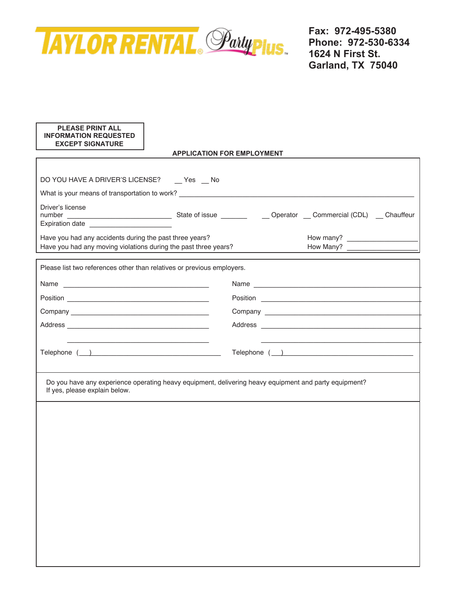

## **PLEASE PRINT ALL INFORMATION REQUESTED EXCEPT SIGNATURE**

## **APPLICATION FOR EMPLOYMENT**

| DO YOU HAVE A DRIVER'S LICENSE? __ Yes __ No                                                                                           |  |                                                                                                                                                                                                                                |  |
|----------------------------------------------------------------------------------------------------------------------------------------|--|--------------------------------------------------------------------------------------------------------------------------------------------------------------------------------------------------------------------------------|--|
| What is your means of transportation to work? __________________________________<br>Driver's license                                   |  |                                                                                                                                                                                                                                |  |
|                                                                                                                                        |  |                                                                                                                                                                                                                                |  |
| Expiration date <u>contracts</u>                                                                                                       |  |                                                                                                                                                                                                                                |  |
| Have you had any accidents during the past three years?<br>Have you had any moving violations during the past three years?             |  |                                                                                                                                                                                                                                |  |
|                                                                                                                                        |  |                                                                                                                                                                                                                                |  |
| Please list two references other than relatives or previous employers.                                                                 |  |                                                                                                                                                                                                                                |  |
|                                                                                                                                        |  | Name experience and the second state of the second state of the second state of the second state of the second state of the second state of the second state of the second state of the second state of the second state of th |  |
|                                                                                                                                        |  |                                                                                                                                                                                                                                |  |
|                                                                                                                                        |  |                                                                                                                                                                                                                                |  |
|                                                                                                                                        |  |                                                                                                                                                                                                                                |  |
|                                                                                                                                        |  |                                                                                                                                                                                                                                |  |
|                                                                                                                                        |  | Telephone $($ $)$                                                                                                                                                                                                              |  |
|                                                                                                                                        |  |                                                                                                                                                                                                                                |  |
| Do you have any experience operating heavy equipment, delivering heavy equipment and party equipment?<br>If yes, please explain below. |  |                                                                                                                                                                                                                                |  |
|                                                                                                                                        |  |                                                                                                                                                                                                                                |  |
|                                                                                                                                        |  |                                                                                                                                                                                                                                |  |
|                                                                                                                                        |  |                                                                                                                                                                                                                                |  |
|                                                                                                                                        |  |                                                                                                                                                                                                                                |  |
|                                                                                                                                        |  |                                                                                                                                                                                                                                |  |
|                                                                                                                                        |  |                                                                                                                                                                                                                                |  |
|                                                                                                                                        |  |                                                                                                                                                                                                                                |  |
|                                                                                                                                        |  |                                                                                                                                                                                                                                |  |
|                                                                                                                                        |  |                                                                                                                                                                                                                                |  |
|                                                                                                                                        |  |                                                                                                                                                                                                                                |  |
|                                                                                                                                        |  |                                                                                                                                                                                                                                |  |
|                                                                                                                                        |  |                                                                                                                                                                                                                                |  |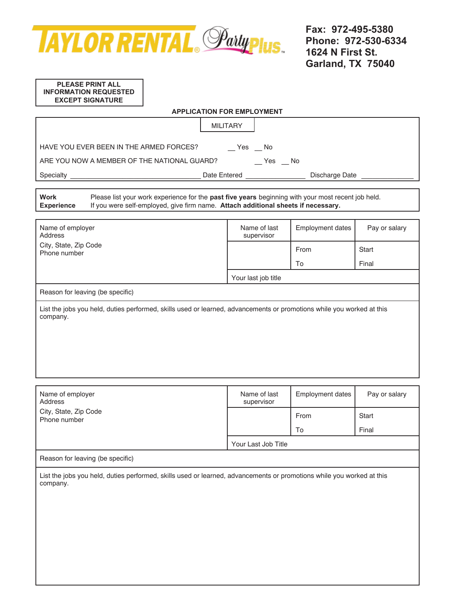

#### **PLEASE PRINT ALL INFORMATION REQUESTED EXCEPT SIGNATURE**

| <b>APPLICATION FOR EMPLOYMENT</b>                                                                                                                                                                                           |                            |                         |               |  |
|-----------------------------------------------------------------------------------------------------------------------------------------------------------------------------------------------------------------------------|----------------------------|-------------------------|---------------|--|
|                                                                                                                                                                                                                             | <b>MILITARY</b>            |                         |               |  |
| HAVE YOU EVER BEEN IN THE ARMED FORCES?<br>$Yes$ $No$<br>$-$ Yes $-$ No<br>ARE YOU NOW A MEMBER OF THE NATIONAL GUARD?                                                                                                      |                            |                         |               |  |
|                                                                                                                                                                                                                             |                            | Discharge Date          |               |  |
| <b>Work</b><br>Please list your work experience for the past five years beginning with your most recent job held.<br>If you were self-employed, give firm name. Attach additional sheets if necessary.<br><b>Experience</b> |                            |                         |               |  |
| Name of employer<br>Address                                                                                                                                                                                                 | Name of last<br>supervisor | <b>Employment dates</b> | Pay or salary |  |
| City, State, Zip Code<br>Phone number                                                                                                                                                                                       |                            | From                    | <b>Start</b>  |  |
|                                                                                                                                                                                                                             |                            | To                      | Final         |  |
|                                                                                                                                                                                                                             | Your last job title        |                         |               |  |
| Reason for leaving (be specific)                                                                                                                                                                                            |                            |                         |               |  |
| List the jobs you held, duties performed, skills used or learned, advancements or promotions while you worked at this<br>company.                                                                                           |                            |                         |               |  |
| Name of employer<br>Address<br>$Cint$ , $Cint$ , $Cint$ , $Cadd$                                                                                                                                                            | Name of last<br>supervisor | <b>Employment dates</b> | Pay or salary |  |

City, State, Zip Code Phone number Phone number and the state of the state of the state of the state of the state of the state of the state of the state of the state of the state of the state of the state of the state of the state of the state To **Start** Final Your Last Job Title

# Reason for leaving (be specific)

List the jobs you held, duties performed, skills used or learned, advancements or promotions while you worked at this company.